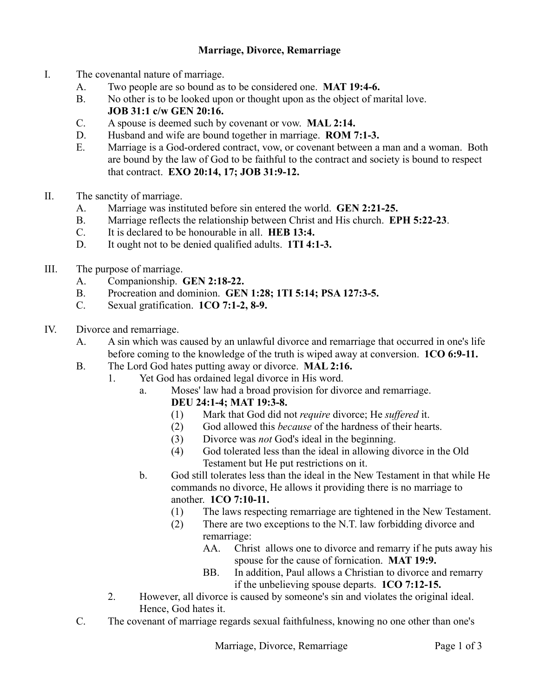## **Marriage, Divorce, Remarriage**

- I. The covenantal nature of marriage.
	- A. Two people are so bound as to be considered one. **MAT 19:4-6.**
	- B. No other is to be looked upon or thought upon as the object of marital love. **JOB 31:1 c/w GEN 20:16.**
	- C. A spouse is deemed such by covenant or vow. **MAL 2:14.**
	- D. Husband and wife are bound together in marriage. **ROM 7:1-3.**
	- E. Marriage is a God-ordered contract, vow, or covenant between a man and a woman. Both are bound by the law of God to be faithful to the contract and society is bound to respect that contract. **EXO 20:14, 17; JOB 31:9-12.**
- II. The sanctity of marriage.
	- A. Marriage was instituted before sin entered the world. **GEN 2:21-25.**
	- B. Marriage reflects the relationship between Christ and His church. **EPH 5:22-23**.
	- C. It is declared to be honourable in all. **HEB 13:4.**
	- D. It ought not to be denied qualified adults. **1TI 4:1-3.**
- III. The purpose of marriage.
	- A. Companionship. **GEN 2:18-22.**
	- B. Procreation and dominion. **GEN 1:28; 1TI 5:14; PSA 127:3-5.**
	- C. Sexual gratification. **1CO 7:1-2, 8-9.**
- IV. Divorce and remarriage.
	- A. A sin which was caused by an unlawful divorce and remarriage that occurred in one's life before coming to the knowledge of the truth is wiped away at conversion. **1CO 6:9-11.**
	- B. The Lord God hates putting away or divorce. **MAL 2:16.**
		- 1. Yet God has ordained legal divorce in His word.
			- a. Moses' law had a broad provision for divorce and remarriage.
				- **DEU 24:1-4; MAT 19:3-8.**
				- (1) Mark that God did not *require* divorce; He *suffered* it.
				- (2) God allowed this *because* of the hardness of their hearts.
				- (3) Divorce was *not* God's ideal in the beginning.
				- (4) God tolerated less than the ideal in allowing divorce in the Old Testament but He put restrictions on it.
				- b. God still tolerates less than the ideal in the New Testament in that while He commands no divorce, He allows it providing there is no marriage to another. **1CO 7:10-11.**
					- (1) The laws respecting remarriage are tightened in the New Testament.
					- (2) There are two exceptions to the N.T. law forbidding divorce and remarriage:
						- AA. Christ allows one to divorce and remarry if he puts away his spouse for the cause of fornication. **MAT 19:9.**
						- BB. In addition, Paul allows a Christian to divorce and remarry if the unbelieving spouse departs. **1CO 7:12-15.**
		- 2. However, all divorce is caused by someone's sin and violates the original ideal. Hence, God hates it.
	- C. The covenant of marriage regards sexual faithfulness, knowing no one other than one's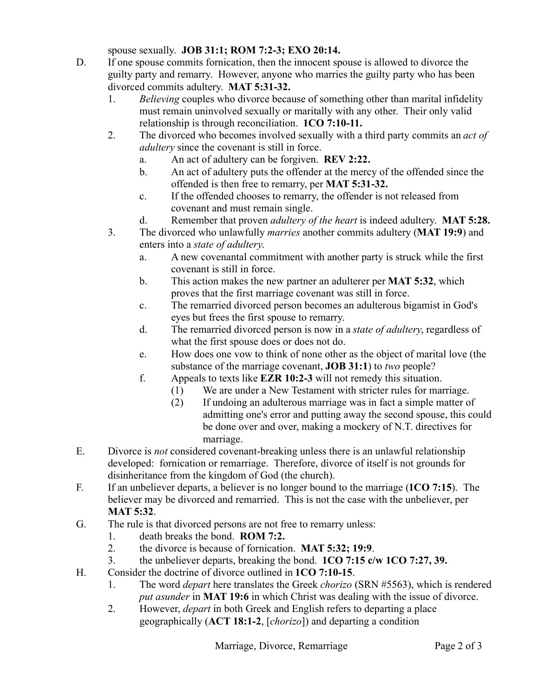spouse sexually. **JOB 31:1; ROM 7:2-3; EXO 20:14.**

- D. If one spouse commits fornication, then the innocent spouse is allowed to divorce the guilty party and remarry. However, anyone who marries the guilty party who has been divorced commits adultery. **MAT 5:31-32.** 
	- 1. *Believing* couples who divorce because of something other than marital infidelity must remain uninvolved sexually or maritally with any other. Their only valid relationship is through reconciliation. **1CO 7:10-11.**
	- 2. The divorced who becomes involved sexually with a third party commits an *act of adultery* since the covenant is still in force.
		- a. An act of adultery can be forgiven. **REV 2:22.**
		- b. An act of adultery puts the offender at the mercy of the offended since the offended is then free to remarry, per **MAT 5:31-32.**
		- c. If the offended chooses to remarry, the offender is not released from covenant and must remain single.
		- d. Remember that proven *adultery of the heart* is indeed adultery. **MAT 5:28.**
	- 3. The divorced who unlawfully *marries* another commits adultery (**MAT 19:9**) and enters into a *state of adultery*.
		- a. A new covenantal commitment with another party is struck while the first covenant is still in force.
		- b. This action makes the new partner an adulterer per **MAT 5:32**, which proves that the first marriage covenant was still in force.
		- c. The remarried divorced person becomes an adulterous bigamist in God's eyes but frees the first spouse to remarry.
		- d. The remarried divorced person is now in a *state of adultery*, regardless of what the first spouse does or does not do.
		- e. How does one vow to think of none other as the object of marital love (the substance of the marriage covenant, **JOB 31:1**) to *two* people?
		- f. Appeals to texts like **EZR 10:2-3** will not remedy this situation.
			- (1) We are under a New Testament with stricter rules for marriage.
			- (2) If undoing an adulterous marriage was in fact a simple matter of admitting one's error and putting away the second spouse, this could be done over and over, making a mockery of N.T. directives for marriage.
- E. Divorce is *not* considered covenant-breaking unless there is an unlawful relationship developed: fornication or remarriage. Therefore, divorce of itself is not grounds for disinheritance from the kingdom of God (the church).
- F. If an unbeliever departs, a believer is no longer bound to the marriage (**1CO 7:15**). The believer may be divorced and remarried. This is not the case with the unbeliever, per **MAT 5:32**.
- G. The rule is that divorced persons are not free to remarry unless:
	- 1. death breaks the bond. **ROM 7:2.**
	- 2. the divorce is because of fornication. **MAT 5:32; 19:9**.
	- 3. the unbeliever departs, breaking the bond. **1CO 7:15 c/w 1CO 7:27, 39.**
- H. Consider the doctrine of divorce outlined in **1CO 7:10-15**.
	- 1. The word *depart* here translates the Greek *chorizo* (SRN #5563), which is rendered *put asunder* in **MAT 19:6** in which Christ was dealing with the issue of divorce.
	- 2. However, *depart* in both Greek and English refers to departing a place geographically (**ACT 18:1-2**, [*chorizo*]) and departing a condition